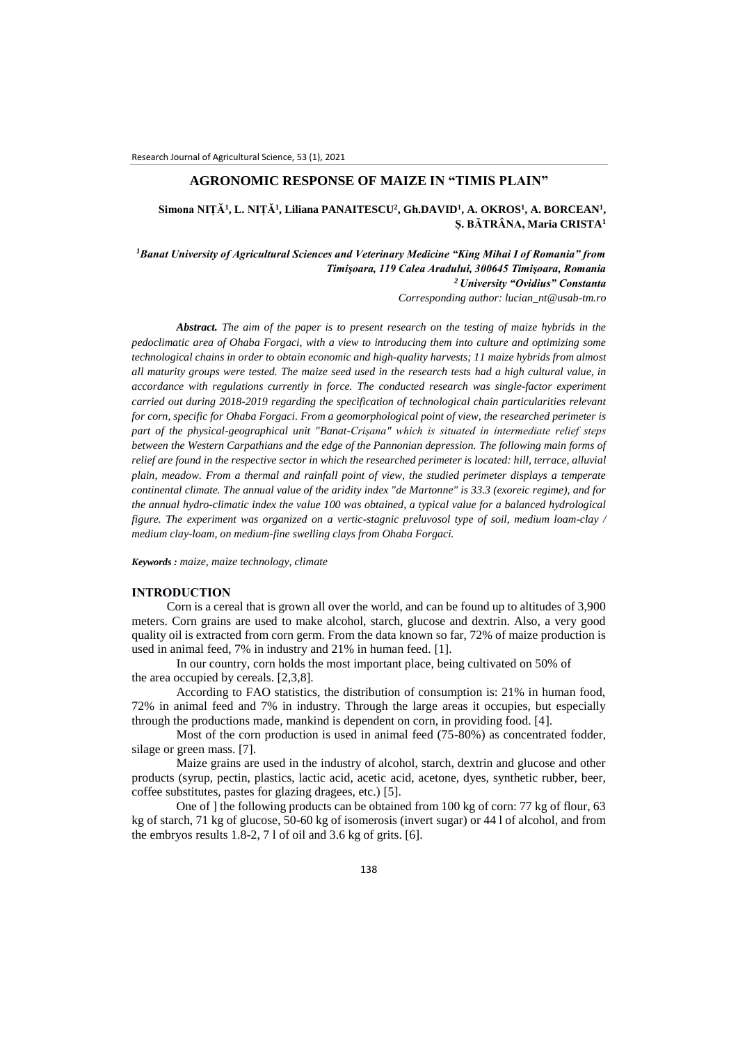## **AGRONOMIC RESPONSE OF MAIZE IN "TIMIS PLAIN"**

## **Simona NIȚĂ<sup>1</sup> , L. NIȚĂ<sup>1</sup> , Liliana PANAITESCU<sup>2</sup> , Gh.DAVID<sup>1</sup> , A. OKROS<sup>1</sup> , A. BORCEAN<sup>1</sup> , Ș. BĂTRÂNA, Maria CRISTA<sup>1</sup>**

*<sup>1</sup>Banat University of Agricultural Sciences and Veterinary Medicine "King Mihai I of Romania" from Timişoara, 119 Calea Aradului, 300645 Timişoara, Romania <sup>2</sup>University "Ovidius" Constanta*

*Corresponding author: lucian\_nt@usab-tm.ro*

*Abstract. The aim of the paper is to present research on the testing of maize hybrids in the pedoclimatic area of Ohaba Forgaci, with a view to introducing them into culture and optimizing some technological chains in order to obtain economic and high-quality harvests; 11 maize hybrids from almost all maturity groups were tested. The maize seed used in the research tests had a high cultural value, in accordance with regulations currently in force. The conducted research was single-factor experiment carried out during 2018-2019 regarding the specification of technological chain particularities relevant for corn, specific for Ohaba Forgaci. From a geomorphological point of view, the researched perimeter is part of the physical-geographical unit "Banat-Crişana" which is situated in intermediate relief steps between the Western Carpathians and the edge of the Pannonian depression. The following main forms of relief are found in the respective sector in which the researched perimeter is located: hill, terrace, alluvial plain, meadow. From a thermal and rainfall point of view, the studied perimeter displays a temperate continental climate. The annual value of the aridity index "de Martonne" is 33.3 (exoreic regime), and for the annual hydro-climatic index the value 100 was obtained, a typical value for a balanced hydrological figure. The experiment was organized on a vertic-stagnic preluvosol type of soil, medium loam-clay / medium clay-loam, on medium-fine swelling clays from Ohaba Forgaci.*

*Keywords : maize, maize technology, climate*

### **INTRODUCTION**

Corn is a cereal that is grown all over the world, and can be found up to altitudes of 3,900 meters. Corn grains are used to make alcohol, starch, glucose and dextrin. Also, a very good quality oil is extracted from corn germ. From the data known so far, 72% of maize production is used in animal feed, 7% in industry and 21% in human feed. [1].

In our country, corn holds the most important place, being cultivated on 50% of the area occupied by cereals. [2,3,8].

According to FAO statistics, the distribution of consumption is: 21% in human food, 72% in animal feed and 7% in industry. Through the large areas it occupies, but especially through the productions made, mankind is dependent on corn, in providing food. [4].

Most of the corn production is used in animal feed (75-80%) as concentrated fodder, silage or green mass. [7].

Maize grains are used in the industry of alcohol, starch, dextrin and glucose and other products (syrup, pectin, plastics, lactic acid, acetic acid, acetone, dyes, synthetic rubber, beer, coffee substitutes, pastes for glazing dragees, etc.) [5].

One of ] the following products can be obtained from 100 kg of corn: 77 kg of flour, 63 kg of starch, 71 kg of glucose, 50-60 kg of isomerosis (invert sugar) or 44 l of alcohol, and from the embryos results 1.8-2, 7 l of oil and 3.6 kg of grits. [6].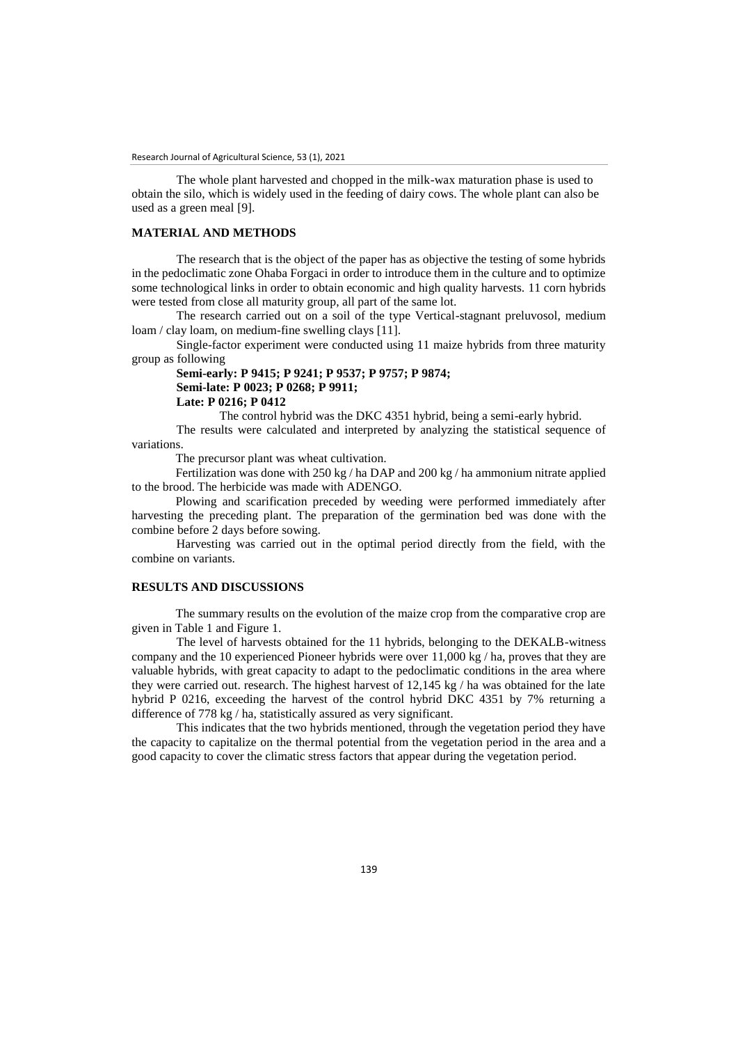The whole plant harvested and chopped in the milk-wax maturation phase is used to obtain the silo, which is widely used in the feeding of dairy cows. The whole plant can also be used as a green meal [9].

## **MATERIAL AND METHODS**

The research that is the object of the paper has as objective the testing of some hybrids in the pedoclimatic zone Ohaba Forgaci in order to introduce them in the culture and to optimize some technological links in order to obtain economic and high quality harvests. 11 corn hybrids were tested from close all maturity group, all part of the same lot.

The research carried out on a soil of the type Vertical-stagnant preluvosol, medium loam / clay loam, on medium-fine swelling clays [11].

Single-factor experiment were conducted using 11 maize hybrids from three maturity group as following

# **Semi-early: P 9415; P 9241; P 9537; P 9757; P 9874; Semi-late: P 0023; P 0268; P 9911; Late: P 0216; P 0412**

The control hybrid was the DKC 4351 hybrid, being a semi-early hybrid.

The results were calculated and interpreted by analyzing the statistical sequence of variations.

The precursor plant was wheat cultivation.

Fertilization was done with 250 kg / ha DAP and 200 kg / ha ammonium nitrate applied to the brood. The herbicide was made with ADENGO.

Plowing and scarification preceded by weeding were performed immediately after harvesting the preceding plant. The preparation of the germination bed was done with the combine before 2 days before sowing.

Harvesting was carried out in the optimal period directly from the field, with the combine on variants.

### **RESULTS AND DISCUSSIONS**

The summary results on the evolution of the maize crop from the comparative crop are given in Table 1 and Figure 1.

The level of harvests obtained for the 11 hybrids, belonging to the DEKALB-witness company and the 10 experienced Pioneer hybrids were over 11,000 kg / ha, proves that they are valuable hybrids, with great capacity to adapt to the pedoclimatic conditions in the area where they were carried out. research. The highest harvest of 12,145 kg / ha was obtained for the late hybrid P 0216, exceeding the harvest of the control hybrid DKC 4351 by 7% returning a difference of 778 kg / ha, statistically assured as very significant.

This indicates that the two hybrids mentioned, through the vegetation period they have the capacity to capitalize on the thermal potential from the vegetation period in the area and a good capacity to cover the climatic stress factors that appear during the vegetation period.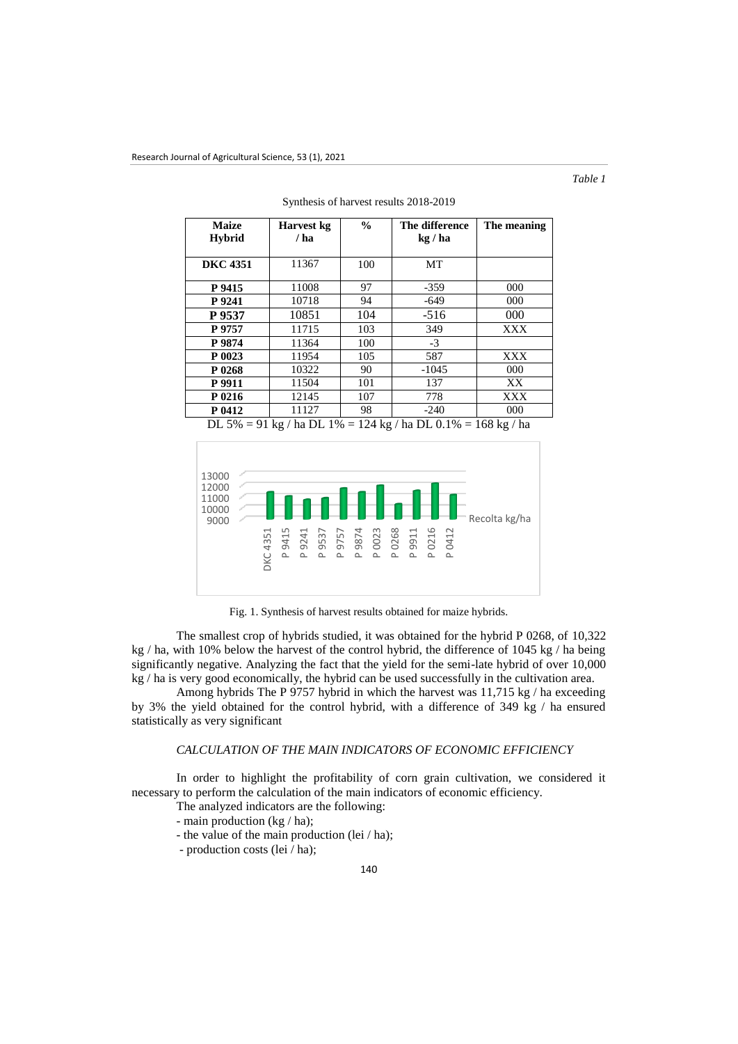*Table 1*

| <b>Maize</b>    | Harvest kg | $\frac{0}{0}$ | The difference | The meaning |
|-----------------|------------|---------------|----------------|-------------|
| <b>Hybrid</b>   | / ha       |               | kg / ha        |             |
|                 |            |               |                |             |
| <b>DKC</b> 4351 | 11367      | 100           | МT             |             |
| P 9415          | 11008      | 97            | $-359$         | 000         |
| P 9241          | 10718      | 94            | $-649$         | 000         |
| P 9537          | 10851      | 104           | $-516$         | 000         |
| P 9757          | 11715      | 103           | 349            | XXX         |
| P 9874          | 11364      | 100           | $-3$           |             |
| P 0023          | 11954      | 105           | 587            | XXX         |
| P 0268          | 10322      | 90            | $-1045$        | 000         |
| P 9911          | 11504      | 101           | 137            | XX          |
| P 0216          | 12145      | 107           | 778            | <b>XXX</b>  |
| P 0412          | 11127      | 98            | $-240$         | $000 \,$    |

Synthesis of harvest results 2018-2019

DL 5% = 91 kg / ha DL 1% = 124 kg / ha DL 0.1% = 168 kg / ha



Fig. 1. Synthesis of harvest results obtained for maize hybrids.

The smallest crop of hybrids studied, it was obtained for the hybrid P 0268, of 10,322 kg / ha, with 10% below the harvest of the control hybrid, the difference of 1045 kg / ha being significantly negative. Analyzing the fact that the yield for the semi-late hybrid of over 10,000 kg / ha is very good economically, the hybrid can be used successfully in the cultivation area.

Among hybrids The P 9757 hybrid in which the harvest was 11,715 kg / ha exceeding by 3% the yield obtained for the control hybrid, with a difference of 349 kg / ha ensured statistically as very significant

## *CALCULATION OF THE MAIN INDICATORS OF ECONOMIC EFFICIENCY*

In order to highlight the profitability of corn grain cultivation, we considered it necessary to perform the calculation of the main indicators of economic efficiency.

The analyzed indicators are the following:

- main production (kg / ha);
- the value of the main production (lei / ha);

- production costs (lei / ha);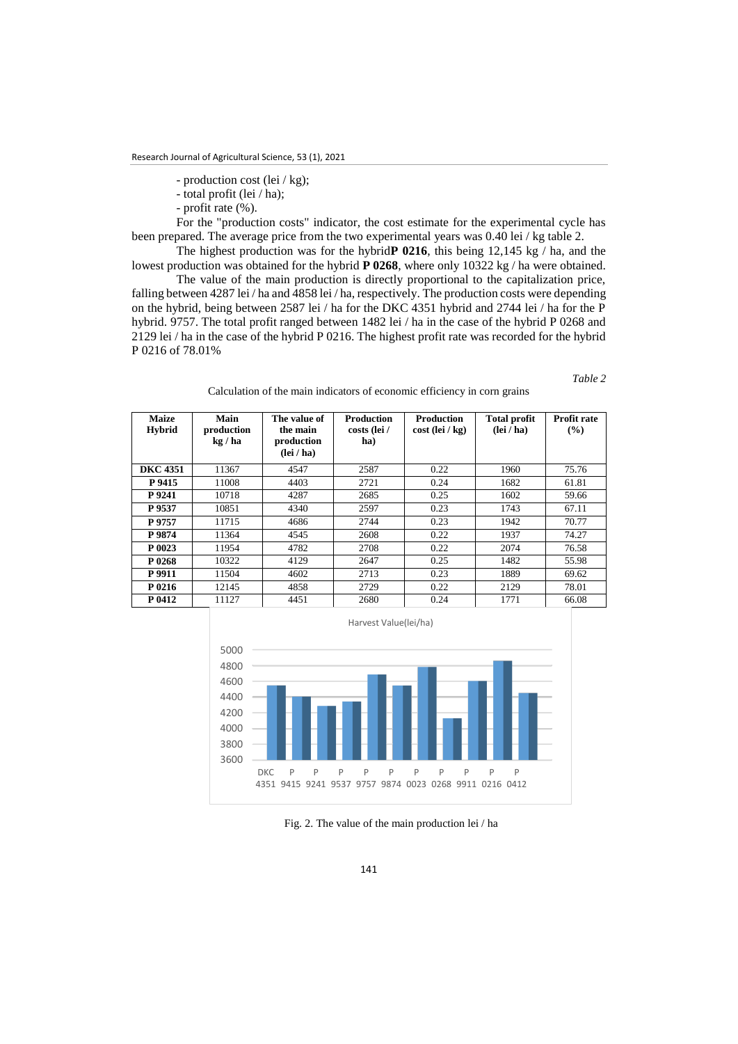- production cost (lei / kg);
- total profit (lei / ha);
- profit rate (%).

For the "production costs" indicator, the cost estimate for the experimental cycle has been prepared. The average price from the two experimental years was 0.40 lei / kg table 2.

The highest production was for the hybrid**P 0216**, this being 12,145 kg / ha, and the lowest production was obtained for the hybrid **P 0268**, where only 10322 kg / ha were obtained.

The value of the main production is directly proportional to the capitalization price, falling between 4287 lei / ha and 4858 lei / ha, respectively. The production costs were depending on the hybrid, being between 2587 lei / ha for the DKC 4351 hybrid and 2744 lei / ha for the P hybrid. 9757. The total profit ranged between 1482 lei / ha in the case of the hybrid P 0268 and 2129 lei / ha in the case of the hybrid P 0216. The highest profit rate was recorded for the hybrid P 0216 of 78.01%

*Table 2*

Calculation of the main indicators of economic efficiency in corn grains

| <b>Maize</b><br><b>Hybrid</b> | Main<br>production<br>kg/ha | The value of<br>the main<br>production<br>$(\text{lei } / \text{ ha})$ | <b>Production</b><br>costs (lei /<br>ha) | <b>Production</b><br>$cost$ (lei / kg) | <b>Total profit</b><br>$(\text{lei } / \text{ ha})$ | Profit rate<br>(%) |
|-------------------------------|-----------------------------|------------------------------------------------------------------------|------------------------------------------|----------------------------------------|-----------------------------------------------------|--------------------|
| <b>DKC 4351</b>               | 11367                       | 4547                                                                   | 2587                                     | 0.22                                   | 1960                                                | 75.76              |
| P 9415                        | 11008                       | 4403                                                                   | 2721                                     | 0.24                                   | 1682                                                | 61.81              |
| P 9241                        | 10718                       | 4287                                                                   | 2685                                     | 0.25                                   | 1602                                                | 59.66              |
| P 9537                        | 10851                       | 4340                                                                   | 2597                                     | 0.23                                   | 1743                                                | 67.11              |
| P 9757                        | 11715                       | 4686                                                                   | 2744                                     | 0.23                                   | 1942                                                | 70.77              |
| P 9874                        | 11364                       | 4545                                                                   | 2608                                     | 0.22                                   | 1937                                                | 74.27              |
| P 0023                        | 11954                       | 4782                                                                   | 2708                                     | 0.22                                   | 2074                                                | 76.58              |
| P 0268                        | 10322                       | 4129                                                                   | 2647                                     | 0.25                                   | 1482                                                | 55.98              |
| P 9911                        | 11504                       | 4602                                                                   | 2713                                     | 0.23                                   | 1889                                                | 69.62              |
| P 0216                        | 12145                       | 4858                                                                   | 2729                                     | 0.22                                   | 2129                                                | 78.01              |
| P 0412                        | 11127                       | 4451                                                                   | 2680                                     | 0.24                                   | 1771                                                | 66.08              |



Fig. 2. The value of the main production lei / ha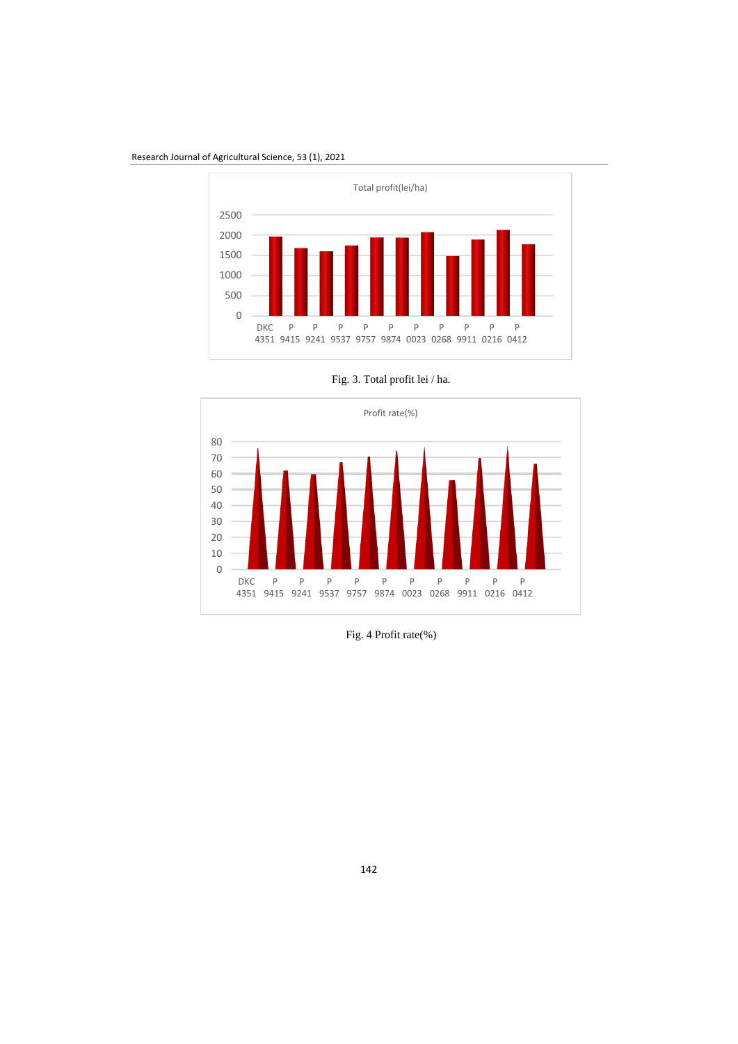Research Journal of Agricultural Science, 53 (1), 2021





Fig. 3. Total profit lei / ha.

Fig. 4 Profit rate(%)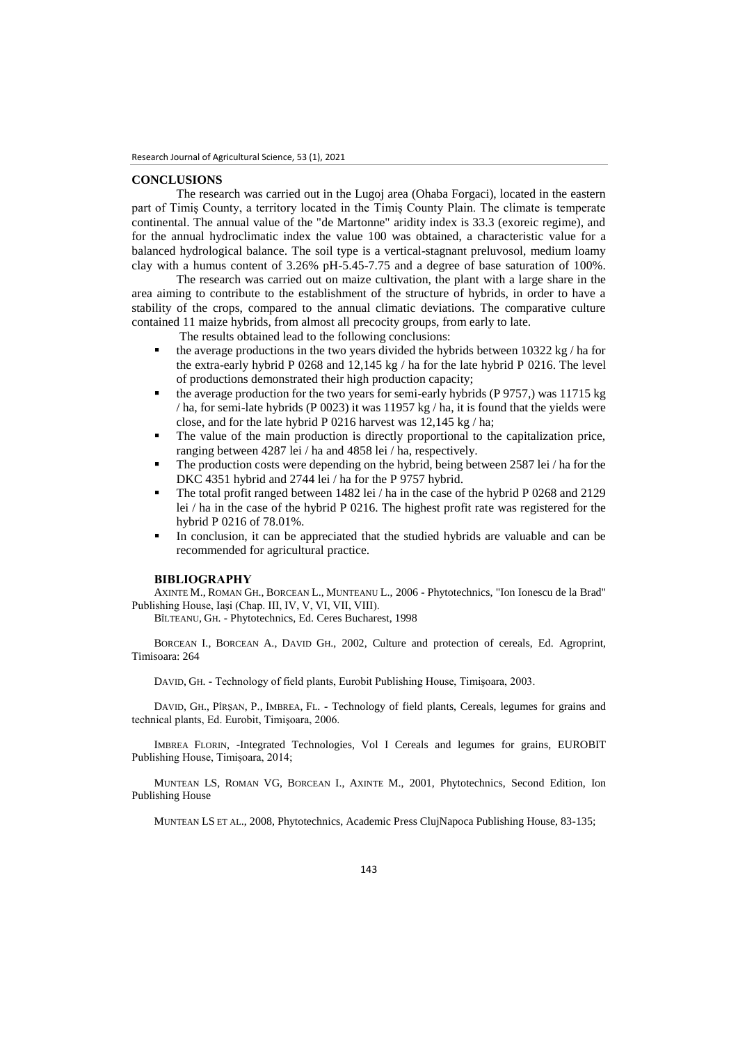#### **CONCLUSIONS**

The research was carried out in the Lugoj area (Ohaba Forgaci), located in the eastern part of Timiş County, a territory located in the Timiș County Plain. The climate is temperate continental. The annual value of the "de Martonne" aridity index is 33.3 (exoreic regime), and for the annual hydroclimatic index the value 100 was obtained, a characteristic value for a balanced hydrological balance. The soil type is a vertical-stagnant preluvosol, medium loamy clay with a humus content of 3.26% pH-5.45-7.75 and a degree of base saturation of 100%.

The research was carried out on maize cultivation, the plant with a large share in the area aiming to contribute to the establishment of the structure of hybrids, in order to have a stability of the crops, compared to the annual climatic deviations. The comparative culture contained 11 maize hybrids, from almost all precocity groups, from early to late.

The results obtained lead to the following conclusions:

- the average productions in the two years divided the hybrids between 10322 kg / ha for the extra-early hybrid P 0268 and 12,145 kg / ha for the late hybrid P 0216. The level of productions demonstrated their high production capacity;
- the average production for the two years for semi-early hybrids (P 9757,) was 11715 kg / ha, for semi-late hybrids (P 0023) it was 11957 kg / ha, it is found that the yields were close, and for the late hybrid P 0216 harvest was 12,145 kg / ha;
- The value of the main production is directly proportional to the capitalization price, ranging between 4287 lei / ha and 4858 lei / ha, respectively.
- The production costs were depending on the hybrid, being between 2587 lei / ha for the DKC 4351 hybrid and 2744 lei / ha for the P 9757 hybrid.
- The total profit ranged between 1482 lei / ha in the case of the hybrid P 0268 and 2129 lei / ha in the case of the hybrid P 0216. The highest profit rate was registered for the hybrid P 0216 of 78.01%.
- In conclusion, it can be appreciated that the studied hybrids are valuable and can be recommended for agricultural practice.

#### **BIBLIOGRAPHY**

AXINTE M., ROMAN GH., BORCEAN L., MUNTEANU L., 2006 - Phytotechnics, "Ion Ionescu de la Brad" Publishing House, Iaşi (Chap. III, IV, V, VI, VII, VIII).

BÎLTEANU, GH. - Phytotechnics, Ed. Ceres Bucharest, 1998

BORCEAN I., BORCEAN A., DAVID GH., 2002, Culture and protection of cereals, Ed. Agroprint, Timisoara: 264

DAVID, GH. - Technology of field plants, Eurobit Publishing House, Timişoara, 2003.

DAVID, GH., PÎRŞAN, P., IMBREA, FL. - Technology of field plants, Cereals, legumes for grains and technical plants, Ed. Eurobit, Timişoara, 2006.

IMBREA FLORIN, -Integrated Technologies, Vol I Cereals and legumes for grains, EUROBIT Publishing House, Timișoara, 2014;

MUNTEAN LS, ROMAN VG, BORCEAN I., AXINTE M., 2001, Phytotechnics, Second Edition, Ion Publishing House

MUNTEAN LS ET AL., 2008, Phytotechnics, Academic Press ClujNapoca Publishing House, 83-135;